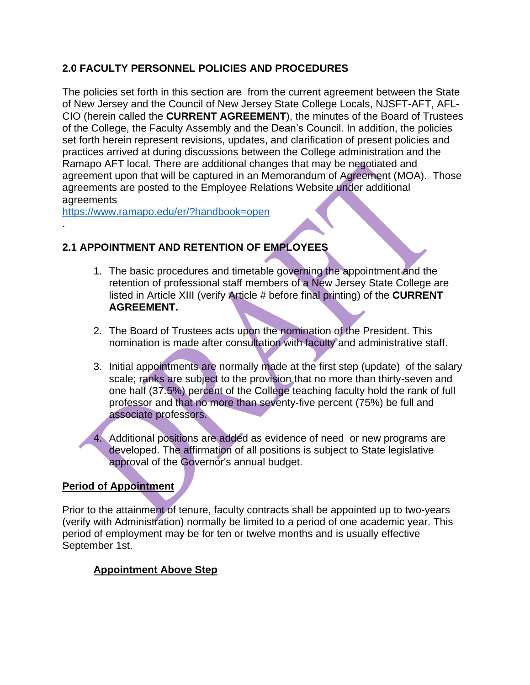## **2.0 FACULTY PERSONNEL POLICIES AND PROCEDURES**

The policies set forth in this section are from the current agreement between the State of New Jersey and the Council of New Jersey State College Locals, NJSFT-AFT, AFL-CIO (herein called the **CURRENT AGREEMENT**), the minutes of the Board of Trustees of the College, the Faculty Assembly and the Dean's Council. In addition, the policies set forth herein represent revisions, updates, and clarification of present policies and practices arrived at during discussions between the College administration and the Ramapo AFT local. There are additional changes that may be negotiated and agreement upon that will be captured in an Memorandum of Agreement (MOA). Those agreements are posted to the Employee Relations Website under additional agreements

<https://www.ramapo.edu/er/?handbook=open>

.

## **2.1 APPOINTMENT AND RETENTION OF EMPLOYEES**

- 1. The basic procedures and timetable governing the appointment and the retention of professional staff members of a New Jersey State College are listed in Article XIII (verify Article # before final printing) of the **CURRENT AGREEMENT.**
- 2. The Board of Trustees acts upon the nomination of the President. This nomination is made after consultation with faculty and administrative staff.
- 3. Initial appointments are normally made at the first step (update) of the salary scale; ranks are subject to the provision that no more than thirty-seven and one half (37.5%) percent of the College teaching faculty hold the rank of full professor and that no more than seventy-five percent (75%) be full and associate professors.

4. Additional positions are added as evidence of need or new programs are developed. The affirmation of all positions is subject to State legislative approval of the Governor's annual budget.

#### **Period of Appointment**

Prior to the attainment of tenure, faculty contracts shall be appointed up to two-years (verify with Administration) normally be limited to a period of one academic year. This period of employment may be for ten or twelve months and is usually effective September 1st.

#### **Appointment Above Step**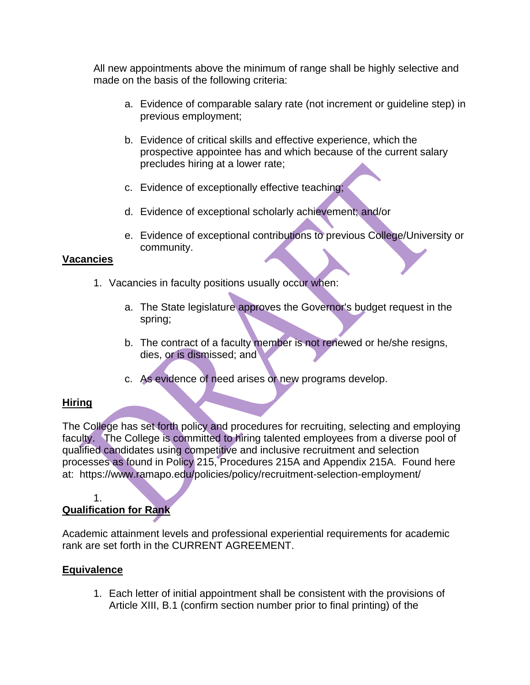All new appointments above the minimum of range shall be highly selective and made on the basis of the following criteria:

- a. Evidence of comparable salary rate (not increment or guideline step) in previous employment;
- b. Evidence of critical skills and effective experience, which the prospective appointee has and which because of the current salary precludes hiring at a lower rate;
- c. Evidence of exceptionally effective teaching;
- d. Evidence of exceptional scholarly achievement; and/or
- e. Evidence of exceptional contributions to previous College/University or community.

#### **Vacancies**

- 1. Vacancies in faculty positions usually occur when:
	- a. The State legislature approves the Governor's budget request in the spring;
	- b. The contract of a faculty member is not renewed or he/she resigns, dies, or is dismissed; and
	- c. As evidence of need arises or new programs develop.

### **Hiring**

The College has set forth policy and procedures for recruiting, selecting and employing faculty. The College is committed to hiring talented employees from a diverse pool of qualified candidates using competitive and inclusive recruitment and selection processes as found in Policy 215, Procedures 215A and Appendix 215A. Found here at: https://www.ramapo.edu/policies/policy/recruitment-selection-employment/

#### 1.

# **Qualification for Rank**

Academic attainment levels and professional experiential requirements for academic rank are set forth in the CURRENT AGREEMENT.

### **Equivalence**

1. Each letter of initial appointment shall be consistent with the provisions of Article XIII, B.1 (confirm section number prior to final printing) of the